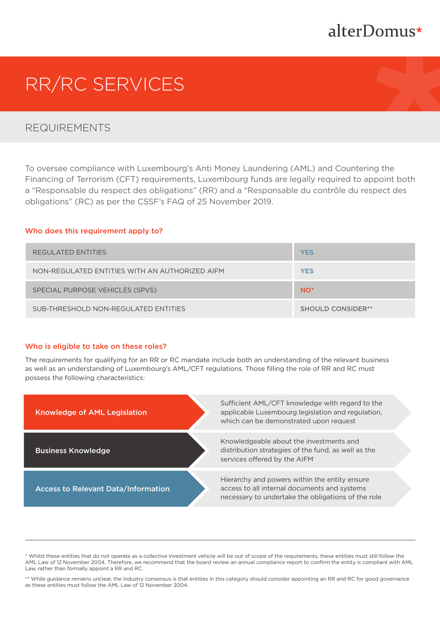## alterDomus\*

# RR/RC SERVICES

## REQUIREMENTS

To oversee compliance with Luxembourg's Anti Money Laundering (AML) and Countering the Financing of Terrorism (CFT) requirements, Luxembourg funds are legally required to appoint both a "Responsable du respect des obligations" (RR) and a "Responsable du contrôle du respect des obligations" (RC) as per the CSSF's FAQ of 25 November 2019.

#### Who does this requirement apply to?

| REGULATED ENTITIES                             | <b>YES</b>               |
|------------------------------------------------|--------------------------|
| NON-REGULATED ENTITIES WITH AN AUTHORIZED AIFM | <b>YES</b>               |
| SPECIAL PURPOSE VEHICLES (SPVS)                | NO <sup>*</sup>          |
| SUB-THRESHOLD NON-REGULATED ENTITIES           | <b>SHOULD CONSIDER**</b> |

#### Who is eligible to take on these roles?

The requirements for qualifying for an RR or RC mandate include both an understanding of the relevant business as well as an understanding of Luxembourg's AML/CFT regulations. Those filling the role of RR and RC must possess the following characteristics:



\* Whilst these entities that do not operate as a collective investment vehicle will be out of scope of the requirements, these entities must still follow the AML Law of 12 November 2004. Therefore, we recommend that the board review an annual compliance report to confirm the entity is compliant with AML Law, rather than formally appoint a RR and RC.

\*\* While guidance remains unclear, the industry consensus is that entities in this category should consider appointing an RR and RC for good governance as these entities must follow the AML Law of 12 November 2004.